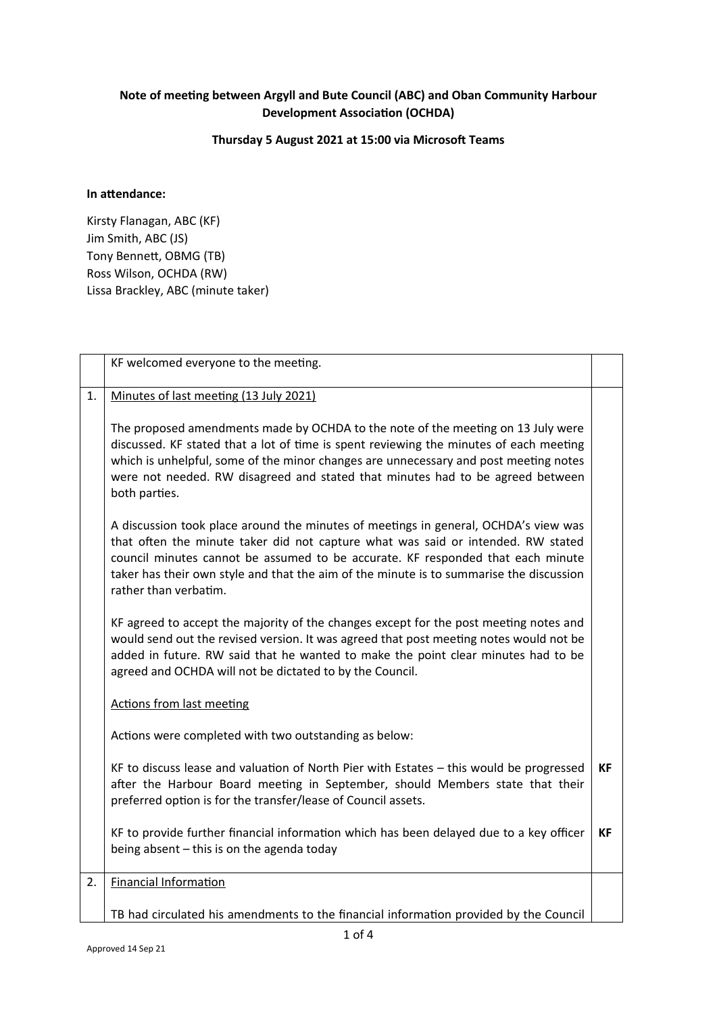## **Note of meeting between Argyll and Bute Council (ABC) and Oban Community Harbour Development Association (OCHDA)**

## **Thursday 5 August 2021 at 15:00 via Microsoft Teams**

## **In attendance:**

Kirsty Flanagan, ABC (KF) Jim Smith, ABC (JS) Tony Bennett, OBMG (TB) Ross Wilson, OCHDA (RW) Lissa Brackley, ABC (minute taker)

|    | KF welcomed everyone to the meeting.                                                                                                                                                                                                                                                                                                                                           |           |
|----|--------------------------------------------------------------------------------------------------------------------------------------------------------------------------------------------------------------------------------------------------------------------------------------------------------------------------------------------------------------------------------|-----------|
| 1. | Minutes of last meeting (13 July 2021)                                                                                                                                                                                                                                                                                                                                         |           |
|    | The proposed amendments made by OCHDA to the note of the meeting on 13 July were<br>discussed. KF stated that a lot of time is spent reviewing the minutes of each meeting<br>which is unhelpful, some of the minor changes are unnecessary and post meeting notes<br>were not needed. RW disagreed and stated that minutes had to be agreed between<br>both parties.          |           |
|    | A discussion took place around the minutes of meetings in general, OCHDA's view was<br>that often the minute taker did not capture what was said or intended. RW stated<br>council minutes cannot be assumed to be accurate. KF responded that each minute<br>taker has their own style and that the aim of the minute is to summarise the discussion<br>rather than verbatim. |           |
|    | KF agreed to accept the majority of the changes except for the post meeting notes and<br>would send out the revised version. It was agreed that post meeting notes would not be<br>added in future. RW said that he wanted to make the point clear minutes had to be<br>agreed and OCHDA will not be dictated to by the Council.                                               |           |
|    | <b>Actions from last meeting</b>                                                                                                                                                                                                                                                                                                                                               |           |
|    | Actions were completed with two outstanding as below:                                                                                                                                                                                                                                                                                                                          |           |
|    | KF to discuss lease and valuation of North Pier with Estates - this would be progressed<br>after the Harbour Board meeting in September, should Members state that their<br>preferred option is for the transfer/lease of Council assets.                                                                                                                                      | <b>KF</b> |
|    | KF to provide further financial information which has been delayed due to a key officer<br>being absent - this is on the agenda today                                                                                                                                                                                                                                          | <b>KF</b> |
| 2. | <b>Financial Information</b>                                                                                                                                                                                                                                                                                                                                                   |           |
|    | TB had circulated his amendments to the financial information provided by the Council                                                                                                                                                                                                                                                                                          |           |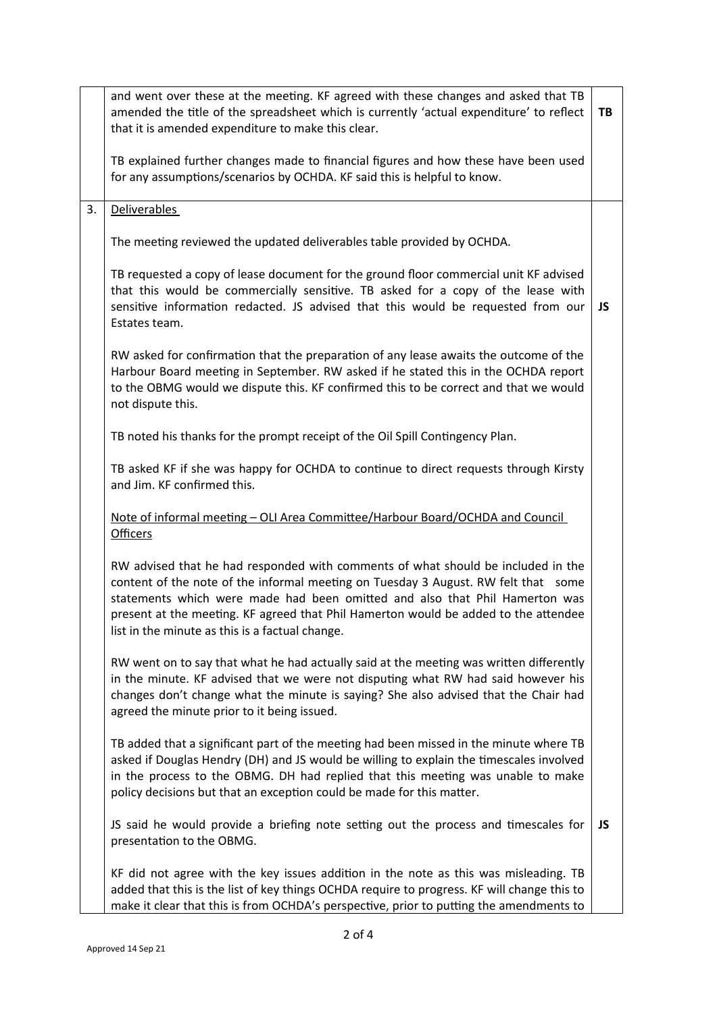|    | and went over these at the meeting. KF agreed with these changes and asked that TB<br>amended the title of the spreadsheet which is currently 'actual expenditure' to reflect<br>that it is amended expenditure to make this clear.                                                                                                                                                             | TB  |
|----|-------------------------------------------------------------------------------------------------------------------------------------------------------------------------------------------------------------------------------------------------------------------------------------------------------------------------------------------------------------------------------------------------|-----|
|    | TB explained further changes made to financial figures and how these have been used<br>for any assumptions/scenarios by OCHDA. KF said this is helpful to know.                                                                                                                                                                                                                                 |     |
| 3. | Deliverables                                                                                                                                                                                                                                                                                                                                                                                    |     |
|    | The meeting reviewed the updated deliverables table provided by OCHDA.                                                                                                                                                                                                                                                                                                                          |     |
|    | TB requested a copy of lease document for the ground floor commercial unit KF advised<br>that this would be commercially sensitive. TB asked for a copy of the lease with<br>sensitive information redacted. JS advised that this would be requested from our<br>Estates team.                                                                                                                  | JS. |
|    | RW asked for confirmation that the preparation of any lease awaits the outcome of the<br>Harbour Board meeting in September. RW asked if he stated this in the OCHDA report<br>to the OBMG would we dispute this. KF confirmed this to be correct and that we would<br>not dispute this.                                                                                                        |     |
|    | TB noted his thanks for the prompt receipt of the Oil Spill Contingency Plan.                                                                                                                                                                                                                                                                                                                   |     |
|    | TB asked KF if she was happy for OCHDA to continue to direct requests through Kirsty<br>and Jim. KF confirmed this.                                                                                                                                                                                                                                                                             |     |
|    | <u> Note of informal meeting - OLI Area Committee/Harbour Board/OCHDA and Council</u><br><b>Officers</b>                                                                                                                                                                                                                                                                                        |     |
|    | RW advised that he had responded with comments of what should be included in the<br>content of the note of the informal meeting on Tuesday 3 August. RW felt that some<br>statements which were made had been omitted and also that Phil Hamerton was<br>present at the meeting. KF agreed that Phil Hamerton would be added to the attendee<br>list in the minute as this is a factual change. |     |
|    | RW went on to say that what he had actually said at the meeting was written differently<br>in the minute. KF advised that we were not disputing what RW had said however his<br>changes don't change what the minute is saying? She also advised that the Chair had<br>agreed the minute prior to it being issued.                                                                              |     |
|    | TB added that a significant part of the meeting had been missed in the minute where TB<br>asked if Douglas Hendry (DH) and JS would be willing to explain the timescales involved<br>in the process to the OBMG. DH had replied that this meeting was unable to make<br>policy decisions but that an exception could be made for this matter.                                                   |     |
|    | JS said he would provide a briefing note setting out the process and timescales for<br>presentation to the OBMG.                                                                                                                                                                                                                                                                                | JS. |
|    | KF did not agree with the key issues addition in the note as this was misleading. TB<br>added that this is the list of key things OCHDA require to progress. KF will change this to<br>make it clear that this is from OCHDA's perspective, prior to putting the amendments to                                                                                                                  |     |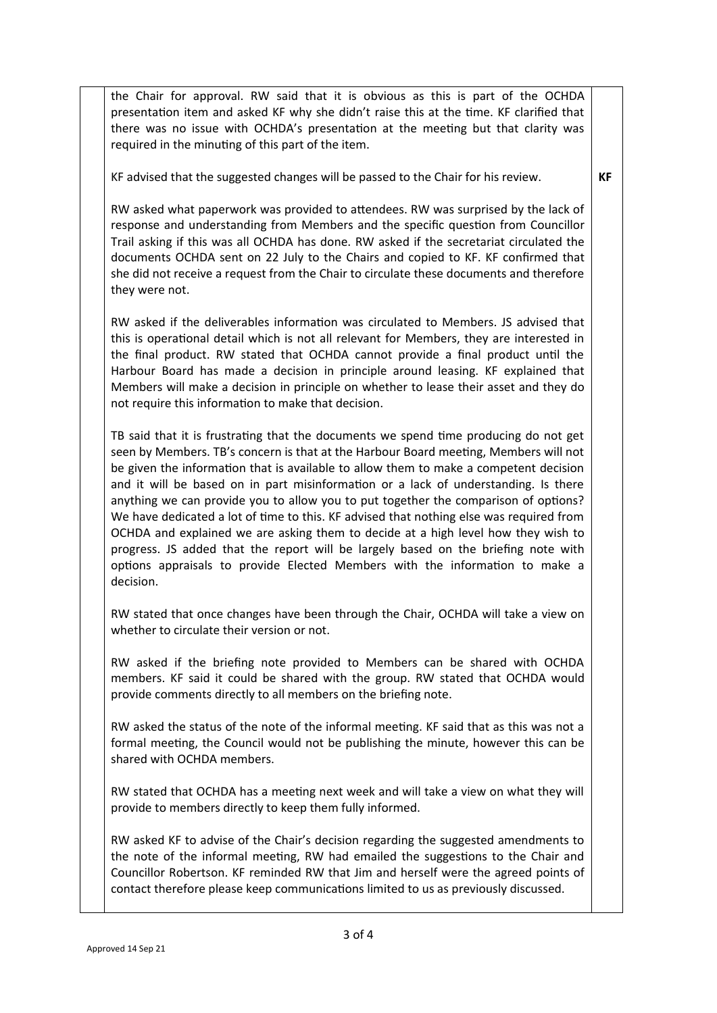the Chair for approval. RW said that it is obvious as this is part of the OCHDA presentation item and asked KF why she didn't raise this at the time. KF clarified that there was no issue with OCHDA's presentation at the meeting but that clarity was required in the minuting of this part of the item.

KF advised that the suggested changes will be passed to the Chair for his review.

## **KF**

RW asked what paperwork was provided to attendees. RW was surprised by the lack of response and understanding from Members and the specific question from Councillor Trail asking if this was all OCHDA has done. RW asked if the secretariat circulated the documents OCHDA sent on 22 July to the Chairs and copied to KF. KF confirmed that she did not receive a request from the Chair to circulate these documents and therefore they were not.

RW asked if the deliverables information was circulated to Members. JS advised that this is operational detail which is not all relevant for Members, they are interested in the final product. RW stated that OCHDA cannot provide a final product until the Harbour Board has made a decision in principle around leasing. KF explained that Members will make a decision in principle on whether to lease their asset and they do not require this information to make that decision.

TB said that it is frustrating that the documents we spend time producing do not get seen by Members. TB's concern is that at the Harbour Board meeting, Members will not be given the information that is available to allow them to make a competent decision and it will be based on in part misinformation or a lack of understanding. Is there anything we can provide you to allow you to put together the comparison of options? We have dedicated a lot of time to this. KF advised that nothing else was required from OCHDA and explained we are asking them to decide at a high level how they wish to progress. JS added that the report will be largely based on the briefing note with options appraisals to provide Elected Members with the information to make a decision.

RW stated that once changes have been through the Chair, OCHDA will take a view on whether to circulate their version or not.

RW asked if the briefing note provided to Members can be shared with OCHDA members. KF said it could be shared with the group. RW stated that OCHDA would provide comments directly to all members on the briefing note.

RW asked the status of the note of the informal meeting. KF said that as this was not a formal meeting, the Council would not be publishing the minute, however this can be shared with OCHDA members.

RW stated that OCHDA has a meeting next week and will take a view on what they will provide to members directly to keep them fully informed.

RW asked KF to advise of the Chair's decision regarding the suggested amendments to the note of the informal meeting, RW had emailed the suggestions to the Chair and Councillor Robertson. KF reminded RW that Jim and herself were the agreed points of contact therefore please keep communications limited to us as previously discussed.